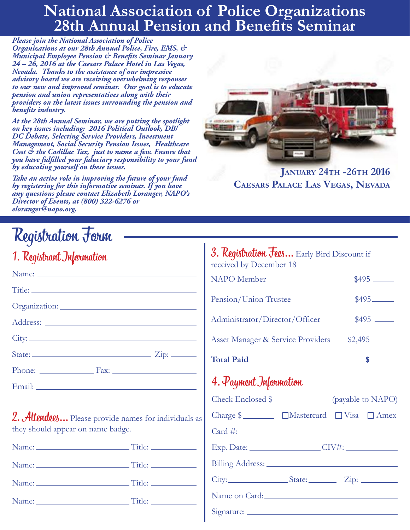# **National Association of Police Organizations 28th Annual Pension and Benefits Seminar**

*Please join the National Association of Police Organizations at our 28th Annual Police, Fire, EMS, & Municipal Employee Pension & Benefits Seminar January 24 – 26, 2016 at the Caesars Palace Hotel in Las Vegas, Nevada. Thanks to the assistance of our impressive advisory board we are receiving overwhelming responses to our new and improved seminar. Our goal is to educate pension and union representatives along with their providers on the latest issues surrounding the pension and benefits industry.* 

*At the 28th Annual Seminar, we are putting the spotlight on key issues including: 2016 Political Outlook, DB/ DC Debate, Selecting Service Providers, Investment Management, Social Security Pension Issues, Healthcare Cost & the Cadillac Tax, just to name a few. Ensure that you have fulfilled your fiduciary responsibility to your fund by educating yourself on these issues.* 

*Take an active role in improving the future of your fund by registering for this informative seminar. If you have any questions please contact Elizabeth Loranger, NAPO's Director of Events, at (800) 322-6276 or eloranger@napo.org.*



**JANUARY 24TH -26TH 2016 Caesars Palace Las Vegas, Nevada**

| 1. Registrant Information |  |
|---------------------------|--|
|                           |  |

2. Attendees... Please provide names for individuals as they should appear on name badge.

Name: Title:

Name: Title:

Name: Title:

Name: Title:

# Registration Form  $\begin{array}{|c|c|c|c|}\n\hline\n1 & 3. \text{Registration} & \text{Registration} & \text{Sers.} & \text{Sars.} & \text{Burs.} & \text{Dissount if} \hline\n\end{array}$ received by December 18

| <b>Total Paid</b>                 |            |
|-----------------------------------|------------|
| Asset Manager & Service Providers | $$2,495$ — |
| Administrator/Director/Officer    | $$495$ —   |
| Pension/Union Trustee             |            |
| <b>NAPO</b> Member                |            |

# 4. Payment Information

| Check Enclosed \$______________ (payable to NAPO)                                                                                                                                                                              |  |  |
|--------------------------------------------------------------------------------------------------------------------------------------------------------------------------------------------------------------------------------|--|--|
| Charge \$ _________ □Mastercard □ Visa □ Amex                                                                                                                                                                                  |  |  |
| $Card \#:\_$                                                                                                                                                                                                                   |  |  |
|                                                                                                                                                                                                                                |  |  |
|                                                                                                                                                                                                                                |  |  |
|                                                                                                                                                                                                                                |  |  |
| Name on Card: 1988 and 1988 and 1988 and 1988 and 1988 and 1988 and 1988 and 1988 and 1988 and 1988 and 1988 and 1988 and 1988 and 1988 and 1988 and 1988 and 1988 and 1988 and 1988 and 1988 and 1988 and 1988 and 1988 and 1 |  |  |
|                                                                                                                                                                                                                                |  |  |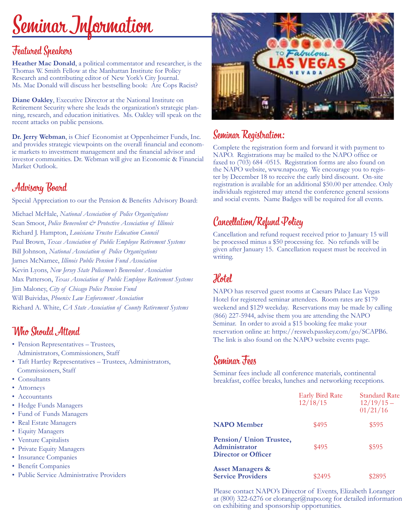# Seminar Information

### Featured Speakers

**Heather Mac Donald**, a political commentator and researcher, is the Thomas W. Smith Fellow at the Manhattan Institute for Policy Research and contributing editor of New York's City Journal. Ms. Mac Donald will discuss her bestselling book: Are Cops Racist?

**Diane Oakley**, Executive Director at the National Institute on Retirement Security where she leads the organization's strategic planning, research, and education initiatives. Ms. Oakley will speak on the recent attacks on public pensions.

**Dr. Jerry Webman**, is Chief Economist at Oppenheimer Funds, Inc. and provides strategic viewpoints on the overall financial and economic markets to investment management and the financial advisor and investor communities. Dr. Webman will give an Economic & Financial Market Outlook.

### Advisory Board

Special Appreciation to our the Pension & Benefits Advisory Board:

Michael McHale, *National Association of Police Organizations* Sean Smoot, *Police Benevolent & Protective Association of Illinois* Richard J. Hampton, *Louisiana Trustee Education Council* Paul Brown, *Texas Association of Public Employee Retirement Systems* Bill Johnson, *National Association of Police Organizations* James McNamee, *Illinois Public Pension Fund Association* Kevin Lyons, *New Jersey State Policemen's Benevolent Association* Max Patterson, *Texas Association of Public Employee Retirement Systems* Jim Maloney, *City of Chicago Police Pension Fund* Will Buividas, *Phoenix Law Enforcement Association* Richard A. White, *CA State Association of County Retirement Systems*

### Who Should Attend

- Pension Representatives Trustees, Administrators, Commissioners, Staff
- Taft Hartley Representatives Trustees, Administrators, Commissioners, Staff
- Consultants
- Attorneys
- Accountants
- Hedge Funds Managers
- Fund of Funds Managers
- Real Estate Managers
- Equity Managers
- Venture Capitalists
- Private Equity Managers
- Insurance Companies
- Benefit Companies
- Public Service Administrative Providers



### Seminar Registration:

Complete the registration form and forward it with payment to NAPO. Registrations may be mailed to the NAPO office or faxed to (703) 684 -0515. Registration forms are also found on the NAPO website, www.napo.org. We encourage you to register by December 18 to receive the early bird discount. On-site registration is available for an additional \$50.00 per attendee. Only individuals registered may attend the conference general sessions and social events. Name Badges will be required for all events.

# Cancellation/Refund Policy

Cancellation and refund request received prior to January 15 will be processed minus a \$50 processing fee. No refunds will be given after January 15. Cancellation request must be received in writing.

# Hotel

NAPO has reserved guest rooms at Caesars Palace Las Vegas Hotel for registered seminar attendees. Room rates are \$179 weekend and \$129 weekday. Reservations may be made by calling (866) 227-5944, advise them you are attending the NAPO Seminar. In order to avoid a \$15 booking fee make your reservation online at: https://resweb.passkey.com/go/SCAPB6. The link is also found on the NAPO website events page.

# Seminar Fees

Seminar fees include all conference materials, continental breakfast, coffee breaks, lunches and networking receptions.

|                                                                 | <b>Early Bird Rate</b><br>12/18/15 | Standard Rate<br>$12/19/15$ –<br>01/21/16 |
|-----------------------------------------------------------------|------------------------------------|-------------------------------------------|
| <b>NAPO</b> Member                                              | \$495                              | \$595                                     |
| Pension/ Union Trustee,<br>Administrator<br>Director or Officer | \$495                              | \$595                                     |
| <b>Asset Managers &amp;</b><br><b>Service Providers</b>         | \$2495                             | \$2895                                    |

Please contact NAPO's Director of Events, Elizabeth Loranger at (800) 322-6276 or eloranger@napo.org for detailed information on exhibiting and sponsorship opportunities.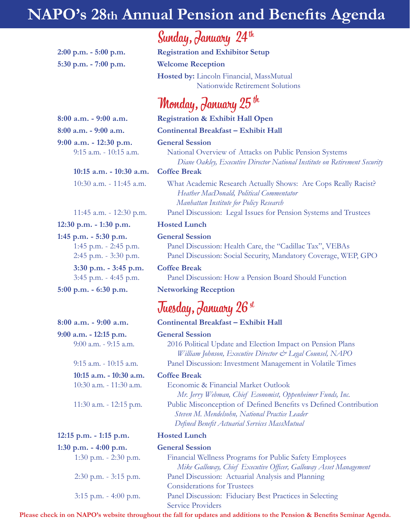# **NAPO's 28th Annual Pension and Benefits Agenda**

**5:30 p.m. - 7:00 p.m. Welcome Reception**

 **10:15 a.m. - 10:30 a.m. Coffee Break**

**12:30 p.m. - 1:30 p.m. Hosted Lunch 1:45 p.m. - 5:30 p.m. General Session 3:30 p.m. - 3:45 p.m. Coffee Break**

**12:15 p.m. - 1:15 p.m. Hosted Lunch**

Sunday, January 24th

**2:00 p.m. - 5:00 p.m. Registration and Exhibitor Setup Hosted by:** Lincoln Financial, MassMutual Nationwide Retirement Solutions

# Monday, January 25 th

#### **8:00 a.m. - 9:00 a.m. Registration & Exhibit Hall Open**

**8:00 a.m. - 9:00 a.m. Continental Breakfast – Exhibit Hall**

#### **9:00 a.m. - 12:30 p.m. General Session**

 9:15 a.m. - 10:15 a.m. National Overview of Attacks on Public Pension Systems  *Diane Oakley, Executive Director National Institute on Retirement Security*

 10:30 a.m. - 11:45 a.m. What Academic Research Actually Shows: Are Cops Really Racist?  *Heather MacDonald, Political Commentator Manhattan Institute for Policy Research* 11:45 a.m. - 12:30 p.m. Panel Discussion: Legal Issues for Pension Systems and Trustees

 1:45 p.m. - 2:45 p.m. Panel Discussion: Health Care, the "Cadillac Tax", VEBAs 2:45 p.m. - 3:30 p.m. Panel Discussion: Social Security, Mandatory Coverage, WEP, GPO

3:45 p.m. - 4:45 p.m. Panel Discussion: How a Pension Board Should Function

#### **5:00 p.m. - 6:30 p.m. Networking Reception**

# Tuesday, January 26 st

**8:00 a.m. - 9:00 a.m. Continental Breakfast – Exhibit Hall**

#### **9:00 a.m. - 12:15 p.m. General Session**

 9:00 a.m. - 9:15 a.m. 2016 Political Update and Election Impact on Pension Plans  *William Johnson, Executive Director & Legal Counsel, NAPO* 9:15 a.m. - 10:15 a.m. Panel Discussion: Investment Management in Volatile Times

#### **10:15 a.m. - 10:30 a.m. Coffee Break**

 10:30 a.m. - 11:30 a.m. Economic & Financial Market Outlook  *Mr. Jerry Webman, Chief Economist, Oppenheimer Funds, Inc.* 11:30 a.m. - 12:15 p.m. Public Misconception of Defined Benefits vs Defined Contribution *Steven M. Mendelsohn, National Practice Leader Defined Benefit Actuarial Services MassMutual*

### **1:30 p.m. - 4:00 p.m. General Session**

 1:30 p.m. - 2:30 p.m. Financial Wellness Programs for Public Safety Employees  *Mike Galloway, Chief Executive Officer, Galloway Asset Management* 2:30 p.m. - 3:15 p.m. Panel Discussion: Actuarial Analysis and Planning Considerations for Trustees 3:15 p.m. - 4:00 p.m. Panel Discussion: Fiduciary Best Practices in Selecting Service Providers

**Please check in on NAPO's website throughout the fall for updates and additions to the Pension & Benefits Seminar Agenda.**